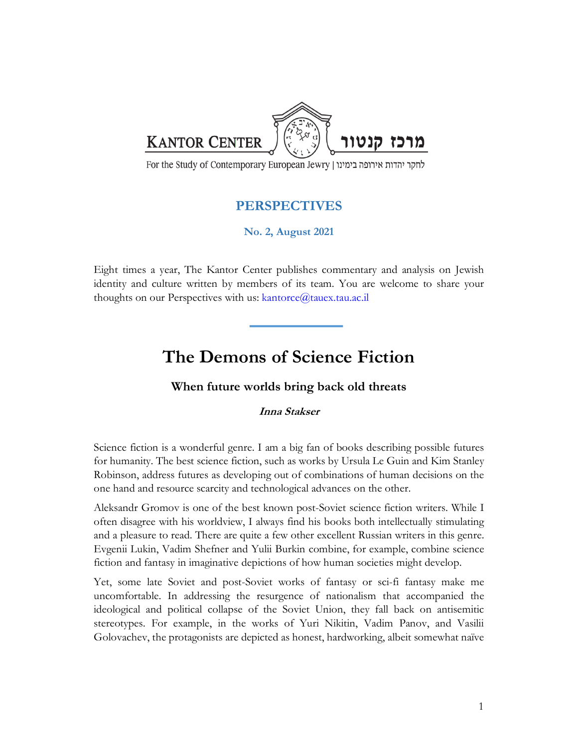

For the Study of Contemporary European Jewry | לחקר יהדות אירופה בימינו

## **PERSPECTIVES**

**No. 2, August 2021**

Eight times a year, The Kantor Center publishes commentary and analysis on Jewish identity and culture written by members of its team. You are welcome to share your thoughts on our Perspectives with us:  $kantorce@tauex.tau.ac.i]$ 

## **The Demons of Science Fiction**

## **When future worlds bring back old threats**

## **Inna Stakser**

Science fiction is a wonderful genre. I am a big fan of books describing possible futures for humanity. The best science fiction, such as works by Ursula Le Guin and Kim Stanley Robinson, address futures as developing out of combinations of human decisions on the one hand and resource scarcity and technological advances on the other.

Aleksandr Gromov is one of the best known post-Soviet science fiction writers. While I often disagree with his worldview, I always find his books both intellectually stimulating and a pleasure to read. There are quite a few other excellent Russian writers in this genre. Evgenii Lukin, Vadim Shefner and Yulii Burkin combine, for example, combine science fiction and fantasy in imaginative depictions of how human societies might develop.

Yet, some late Soviet and post-Soviet works of fantasy or sci-fi fantasy make me uncomfortable. In addressing the resurgence of nationalism that accompanied the ideological and political collapse of the Soviet Union, they fall back on antisemitic stereotypes. For example, in the works of Yuri Nikitin, Vadim Panov, and Vasilii Golovachev, the protagonists are depicted as honest, hardworking, albeit somewhat naïve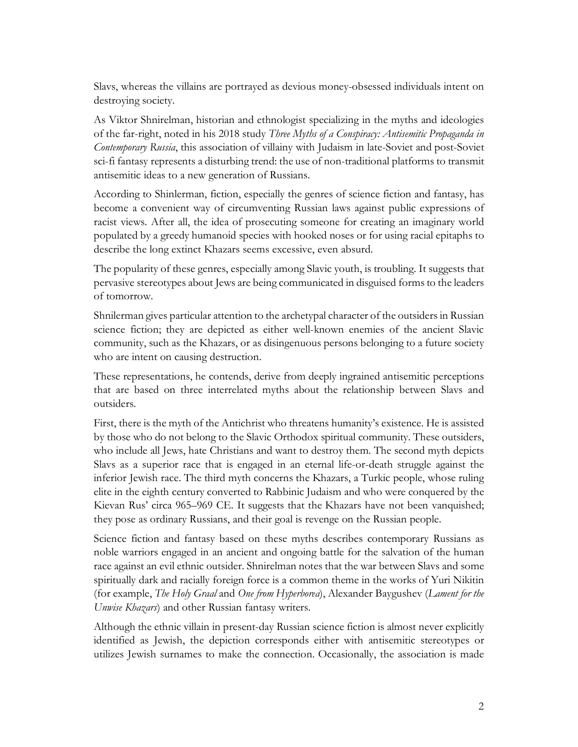Slavs, whereas the villains are portrayed as devious money-obsessed individuals intent on destroying society.

As Viktor Shnirelman, historian and ethnologist specializing in the myths and ideologies of the far-right, noted in his 2018 study *Three Myths of a Conspiracy: Antisemitic Propaganda in Contemporary Russia*, this association of villainy with Judaism in late-Soviet and post-Soviet sci-fi fantasy represents a disturbing trend: the use of non-traditional platforms to transmit antisemitic ideas to a new generation of Russians.

According to Shinlerman, fiction, especially the genres of science fiction and fantasy, has become a convenient way of circumventing Russian laws against public expressions of racist views. After all, the idea of prosecuting someone for creating an imaginary world populated by a greedy humanoid species with hooked noses or for using racial epitaphs to describe the long extinct Khazars seems excessive, even absurd.

The popularity of these genres, especially among Slavic youth, is troubling. It suggests that pervasive stereotypes about Jews are being communicated in disguised forms to the leaders of tomorrow.

Shnilerman gives particular attention to the archetypal character of the outsiders in Russian science fiction; they are depicted as either well-known enemies of the ancient Slavic community, such as the Khazars, or as disingenuous persons belonging to a future society who are intent on causing destruction.

These representations, he contends, derive from deeply ingrained antisemitic perceptions that are based on three interrelated myths about the relationship between Slavs and outsiders.

First, there is the myth of the Antichrist who threatens humanity's existence. He is assisted by those who do not belong to the Slavic Orthodox spiritual community. These outsiders, who include all Jews, hate Christians and want to destroy them. The second myth depicts Slavs as a superior race that is engaged in an eternal life-or-death struggle against the inferior Jewish race. The third myth concerns the Khazars, a Turkic people, whose ruling elite in the eighth century converted to Rabbinic Judaism and who were conquered by the Kievan Rus' circa 965–969 CE. It suggests that the Khazars have not been vanquished; they pose as ordinary Russians, and their goal is revenge on the Russian people.

Science fiction and fantasy based on these myths describes contemporary Russians as noble warriors engaged in an ancient and ongoing battle for the salvation of the human race against an evil ethnic outsider. Shnirelman notes that the war between Slavs and some spiritually dark and racially foreign force is a common theme in the works of Yuri Nikitin (for example, *The Holy Graal* and *One from Hyperborea*), Alexander Baygushev (*Lament for the Unwise Khazars*) and other Russian fantasy writers.

Although the ethnic villain in present-day Russian science fiction is almost never explicitly identified as Jewish, the depiction corresponds either with antisemitic stereotypes or utilizes Jewish surnames to make the connection. Occasionally, the association is made